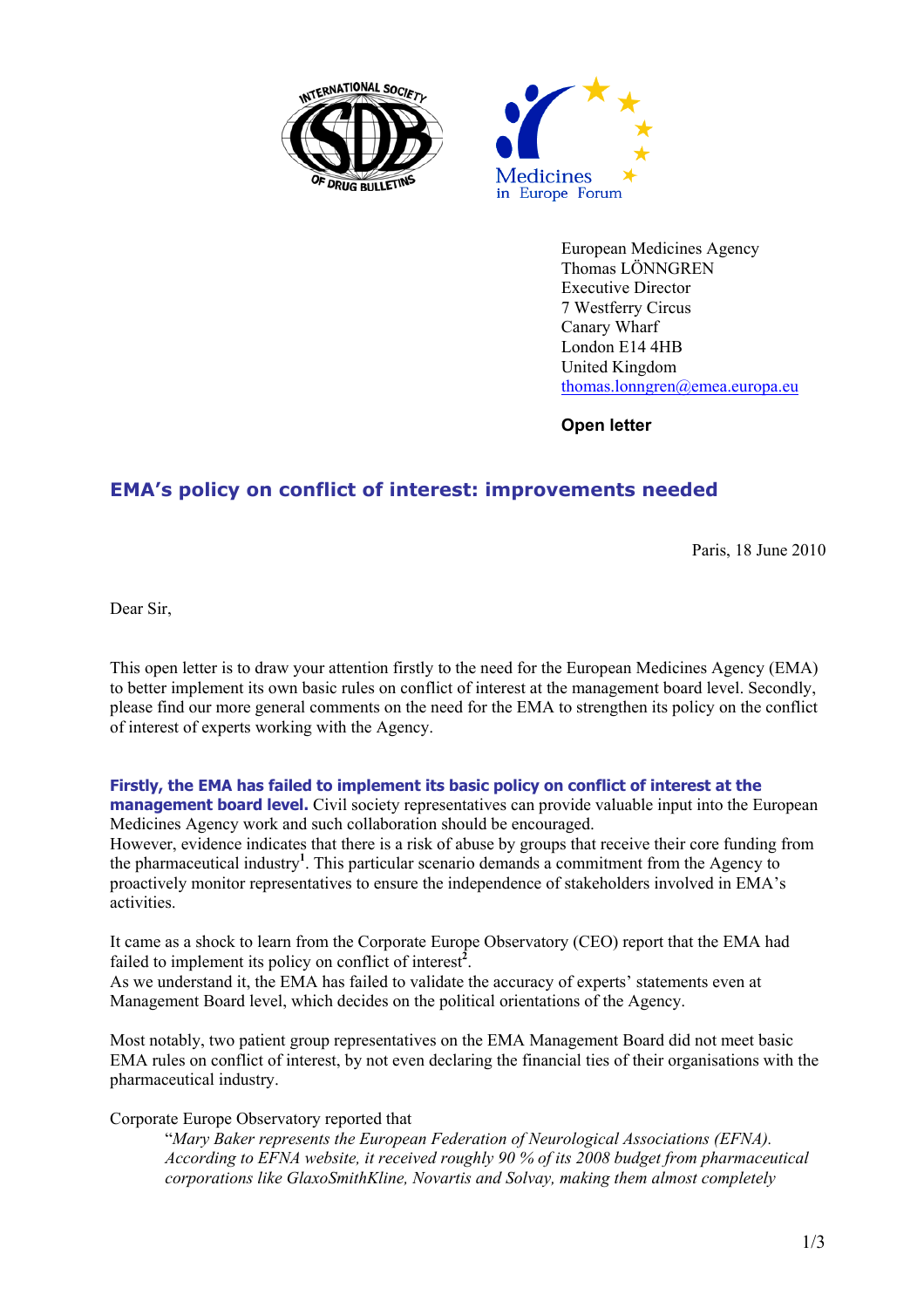



European Medicines Agency Thomas LÖNNGREN Executive Director 7 Westferry Circus Canary Wharf London E14 4HB United Kingdom thomas.lonngren@emea.europa.eu

**Open letter** 

## **EMA's policy on conflict of interest: improvements needed**

Paris, 18 June 2010

Dear Sir,

This open letter is to draw your attention firstly to the need for the European Medicines Agency (EMA) to better implement its own basic rules on conflict of interest at the management board level. Secondly, please find our more general comments on the need for the EMA to strengthen its policy on the conflict of interest of experts working with the Agency.

## **Firstly, the EMA has failed to implement its basic policy on conflict of interest at the**

**management board level.** Civil society representatives can provide valuable input into the European Medicines Agency work and such collaboration should be encouraged.

However, evidence indicates that there is a risk of abuse by groups that receive their core funding from the pharmaceutical industry**<sup>1</sup>** . This particular scenario demands a commitment from the Agency to proactively monitor representatives to ensure the independence of stakeholders involved in EMA's activities.

It came as a shock to learn from the Corporate Europe Observatory (CEO) report that the EMA had failed to implement its policy on conflict of interest<sup>2</sup>.

As we understand it, the EMA has failed to validate the accuracy of experts' statements even at Management Board level, which decides on the political orientations of the Agency.

Most notably, two patient group representatives on the EMA Management Board did not meet basic EMA rules on conflict of interest, by not even declaring the financial ties of their organisations with the pharmaceutical industry.

Corporate Europe Observatory reported that

"*Mary Baker represents the European Federation of Neurological Associations (EFNA). According to EFNA website, it received roughly 90 % of its 2008 budget from pharmaceutical corporations like GlaxoSmithKline, Novartis and Solvay, making them almost completely*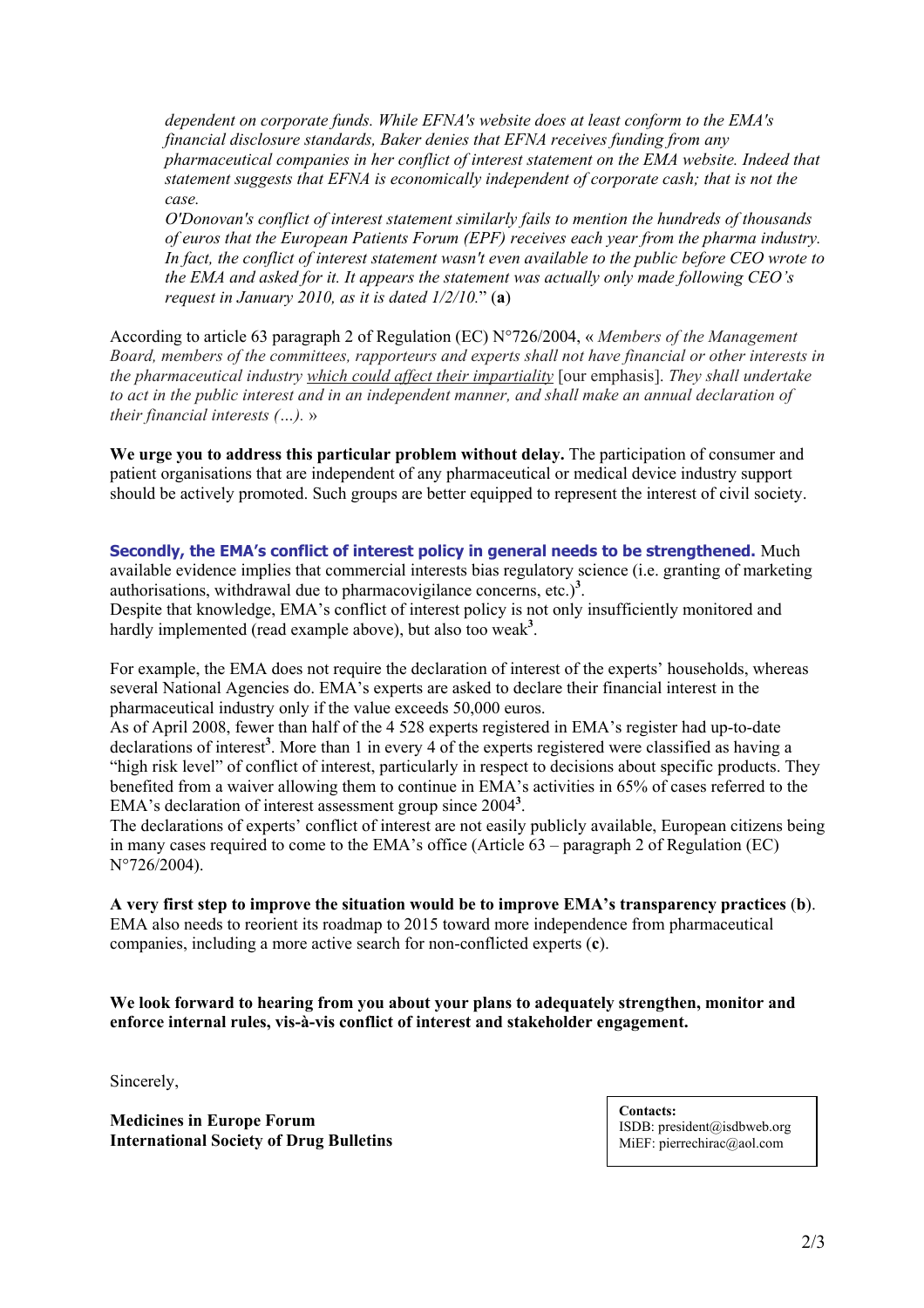*dependent on corporate funds. While EFNA's website does at least conform to the EMA's financial disclosure standards, Baker denies that EFNA receives funding from any pharmaceutical companies in her conflict of interest statement on the EMA website. Indeed that statement suggests that EFNA is economically independent of corporate cash; that is not the case.* 

*O'Donovan's conflict of interest statement similarly fails to mention the hundreds of thousands of euros that the European Patients Forum (EPF) receives each year from the pharma industry. In fact, the conflict of interest statement wasn't even available to the public before CEO wrote to the EMA and asked for it. It appears the statement was actually only made following CEO's request in January 2010, as it is dated 1/2/10.*" (**a**)

According to article 63 paragraph 2 of Regulation (EC) N°726/2004, « *Members of the Management Board, members of the committees, rapporteurs and experts shall not have financial or other interests in the pharmaceutical industry which could affect their impartiality* [our emphasis]. *They shall undertake to act in the public interest and in an independent manner, and shall make an annual declaration of their financial interests (…).* »

**We urge you to address this particular problem without delay.** The participation of consumer and patient organisations that are independent of any pharmaceutical or medical device industry support should be actively promoted. Such groups are better equipped to represent the interest of civil society.

**Secondly, the EMA's conflict of interest policy in general needs to be strengthened.** Much available evidence implies that commercial interests bias regulatory science (i.e. granting of marketing authorisations, withdrawal due to pharmacovigilance concerns, etc.)<sup>3</sup>. Despite that knowledge, EMA's conflict of interest policy is not only insufficiently monitored and hardly implemented (read example above), but also too weak**<sup>3</sup>** .

For example, the EMA does not require the declaration of interest of the experts' households, whereas several National Agencies do. EMA's experts are asked to declare their financial interest in the pharmaceutical industry only if the value exceeds 50,000 euros.

As of April 2008, fewer than half of the 4 528 experts registered in EMA's register had up-to-date declarations of interest<sup>3</sup>. More than 1 in every 4 of the experts registered were classified as having a "high risk level" of conflict of interest, particularly in respect to decisions about specific products. They benefited from a waiver allowing them to continue in EMA's activities in 65% of cases referred to the EMA's declaration of interest assessment group since 2004**<sup>3</sup>** .

The declarations of experts' conflict of interest are not easily publicly available, European citizens being in many cases required to come to the EMA's office (Article 63 – paragraph 2 of Regulation (EC) N°726/2004).

**A very first step to improve the situation would be to improve EMA's transparency practices** (**b**). EMA also needs to reorient its roadmap to 2015 toward more independence from pharmaceutical companies, including a more active search for non-conflicted experts (**c**).

**We look forward to hearing from you about your plans to adequately strengthen, monitor and enforce internal rules, vis-à-vis conflict of interest and stakeholder engagement.** 

Sincerely,

**Medicines in Europe Forum International Society of Drug Bulletins**  **Contacts:**  ISDB: president@isdbweb.org MiEF: pierrechirac@aol.com